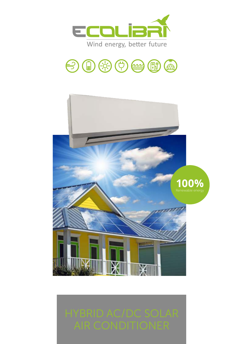



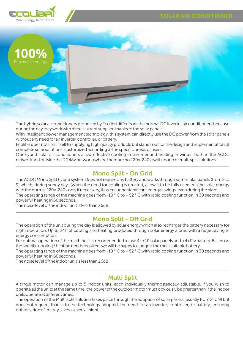

The hybrid solar air conditioners proposed by Ecolibrì differfrom the normal DC inverter air conditioners because during the daytheywork with direct current supplied thanks to the solarpanels.

With intelligent power management technology, this system can directly use the DC power from the solar panels without anyneed foran inverter, controller, orbattery.

Ecolibrì does not limit itselfto supplying high qualityproducts but stands out forthe design and implementation of complete solar solutions, customized according to the specific needs ofusers.

Our hybrid solar air conditioners allow effective cooling in summer and heating in winter, both in the ACDC network and outside the DC48vnetwork (where there are no 220v-240v) with mono ormulti split solutions.

# Mono Split - On Grid

The operating range of the machine goes from -10 ° C to + 52 ° C with rapid cooling function in 30 seconds and The ACDC Mono Split hybrid system does not require any battery and works through some solar panels (from 2 to 9) which, during sunny days (when the need for cooling is greater), allow it to be fully used, mixing solar energy with the normal 220v-240v only if necessary, thus ensuring significant energy savings, even during the night.

powerful heating in 60 seconds.

The noise level ofthe indoorunit is less than 26dB.

# Mono Split - Off Grid

The operation ofthe unit during the day is allowed by solar energywhich also recharges the battery necessary for night operation. Up to 24h of cooling and heating produced through solar energy alone, with a huge saving in energyconsumption.

Foroptimal operation ofthe machine, it is recommended to use 4 to 10 solar panels and a 4x12v battery. Based on the specific cooling / heating needs required, we will be happyto suggest the most suitable battery.

The operating range of the machine goes from -10 ° C to + 52 ° C with rapid cooling function in 30 seconds and powerful heating in 60 seconds.

The noise level ofthe indoorunit is less than 26dB

## Multi Split

A single motor can manage up to 5 indoor units, each individually thermostatically adjustable. If you wish to operate all the units at the same time, the powerofthe outdoormotormust obviouslybe greaterthan ifthe indoor units operate at different times.

The operation of the Multi Split solution takes place through the adoption of solar panels (usually from 2 to 9) but does not require, thanks to the technology adopted, the need for an inverter, controller, or battery, ensuring optimization ofenergysavings even at night.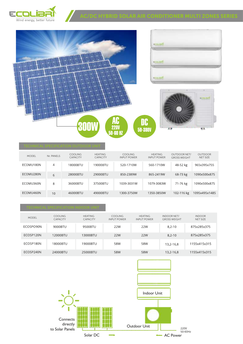



| <b>MODEL</b> | Nr. PANELS | <b>COOLING</b><br><b>CAPACITY</b> | <b>HEATING</b><br><b>CAPACITY</b> | <b>COOLING</b><br><b>INPUT POWER</b> | <b>HEATING</b><br><b>INPUT POWER</b> | OUTDOOR NET/<br><b>GROSS WEIGHT</b> | <b>OUTDOOR</b><br>NFT SIZE |
|--------------|------------|-----------------------------------|-----------------------------------|--------------------------------------|--------------------------------------|-------------------------------------|----------------------------|
| ECOMU180N    | 4          | 18000BTU                          | 19000BTU                          | 520-1710W                            | 560-1710W                            | 48-52 kg                            | 965x395x755                |
| ECOMU280N    | 6          | 28000BTU                          | 29000BTU                          | 850-2389W                            | 865-2419W                            | 68-73 kg                            | 1090x500x875               |
| ECOMU360N    | 8          | 36000BTU                          | 37500BTU                          | 1039-3031W                           | 1079-3083W                           | 71-76 kg                            | 1090x500x875               |
| ECOMU460N    | 10         | 46000BTU                          | 49000BTU                          | 1300-3750W                           | 1350-3850W                           | 102-116 kg                          | 1095x495x1485              |

| <b>MODEL</b> | <b>COOLING</b><br><b>CAPACITY</b> | <b>HEATING</b><br><b>CAPACITY</b> | <b>COOLING</b><br><b>INPUT POWER</b> | <b>HEATING</b><br><b>INPUT POWER</b> | INDOOR NET/<br><b>GROSS WEIGHT</b> | <b>INDOOR</b><br>NET SIZE |
|--------------|-----------------------------------|-----------------------------------|--------------------------------------|--------------------------------------|------------------------------------|---------------------------|
| ECOSPO90N    | 9000BTU                           | 9500BTU                           | 22W                                  | 22W                                  | $8.2 - 10$                         | 875x285x375               |
| FCOSP120N    | 12000BTU                          | 13000BTU                          | 22W                                  | 22W                                  | $8.2 - 10$                         | 875x285x375               |
| ECOSP180N    | 18000BTU                          | 19000BTU                          | 58W                                  | 58W                                  | 13,2-16,8                          | 1155x415x315              |
| ECOSP240N    | 24000BTU                          | 25000BTU                          | 58W                                  | 58W                                  | 13,2-16,8                          | 1155x415x315              |



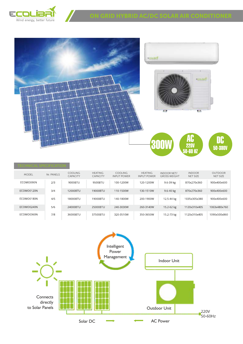



| ,,,,,,,,,,,,,,,,,,,,,,,,,,,,, |            |                                   |                                   |                                      |                                      |                                           |                           |                            |  |  |
|-------------------------------|------------|-----------------------------------|-----------------------------------|--------------------------------------|--------------------------------------|-------------------------------------------|---------------------------|----------------------------|--|--|
| <b>MODEL</b>                  | Nr. PANELS | <b>COOLING</b><br><b>CAPACITY</b> | <b>HEATING</b><br><b>CAPACITY</b> | <b>COOLING</b><br><b>INPUT POWER</b> | <b>HEATING</b><br><b>INPUT POWER</b> | <b>INDOOR NET/</b><br><b>GROSS WEIGHT</b> | <b>INDOOR</b><br>NET SIZE | <b>OUTDOOR</b><br>NET SIZE |  |  |
| ECOMO090N                     | 2/3        | 9000BTU                           | 9500BTU                           | 100-1200W                            | 120-1200W                            | 9.6-39 kg                                 | 870x270x360               | 900x400x600                |  |  |
| ECOMO0120N                    | 3/4        | 12000BTU                          | 19000BTU                          | 110-1500W                            | 130-1510W                            | $9.6 - 40$ kg                             | 870x270x360               | 900x400x600                |  |  |
| ECOMO0180N                    | 4/5        | 18000BTU                          | 19000BTU                          | 140-1800W                            | 200-1900W                            | 12.5-44 kg                                | 1035x305x380              | 900x400x600                |  |  |
| ECOMO0240N                    | 5/6        | 24000BTU                          | 25000BTU                          | 240-3030W                            | 260-3140W                            | 15.2-62 kg                                | 1120x310x405              | 1063x480x760               |  |  |
| ECOMO0360N                    | 7/8        | 36000BTU                          | 37500BTU                          | 320-3510W                            | 350-3650W                            | 15.2-73 kg                                | 1120x310x405              | 1090x500x860               |  |  |

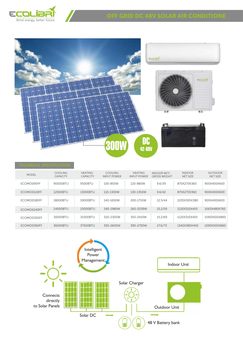



| <b>MODEL</b> | <b>COOLING</b><br><b>CAPACITY</b> | <b>HEATING</b><br><b>CAPACITY</b> | <b>COOLING</b><br><b>INPUT POWER</b> | <b>HEATING</b><br><b>INPUT POWER</b> | <b>INDOOR NET/</b><br><b>GROSS WEIGHT</b> | <b>INDOOR</b><br>NET SIZE | <b>OUTDOOR</b><br><b>NET SIZE</b> |
|--------------|-----------------------------------|-----------------------------------|--------------------------------------|--------------------------------------|-------------------------------------------|---------------------------|-----------------------------------|
| ECOMO090FF   | 90000BTU                          | 9500BTU                           | 100-850W                             | 120-880W                             | 9.6/39                                    | 870X270X360               | 900X400X600                       |
| ECOMO0120FF  | 12000BTU                          | 13000BTU                          | 110-1300W                            | 130-1350W                            | 9.6/42                                    | 870X270X360               | 900X400X600                       |
| ECOMO0180FF  | 18000BTU                          | 19000BTU                          | 140-1650W                            | 200-1710W                            | 12.5/44                                   | 1035X305X380              | 900X400X600                       |
| ECOMO0240FF  | 24000BTU                          | 25000BTU                          | 240-1980W                            | 260-2039W                            | 15.2/59                                   | 1120X310X405              | 1063X480X760                      |
| ECOMO0300FF  | 30000BTU                          | 31000BTU                          | 320-2300W                            | 350-2410W                            | 15.2/69                                   | 1120X310X405              | 1090X500X860                      |
| ECOMO0360FF  | 36000BTU                          | 37500BTU                          | 350-2600W                            | 390-2700W                            | 27.6/73                                   | 1340X380X450              | 1090X500X860                      |